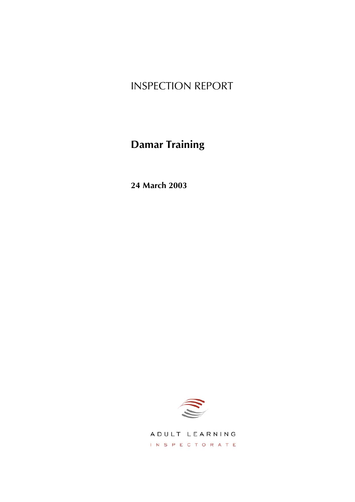# INSPECTION REPORT

# **Damar Training**

**24 March 2003**



ADULT LEARNING INSPECTORATE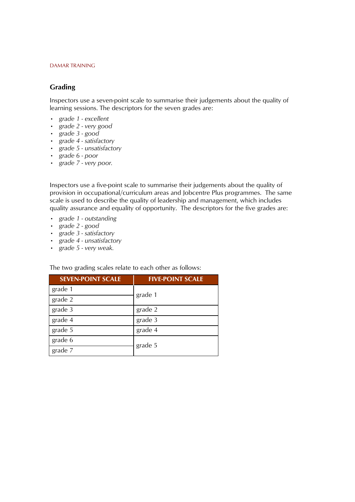#### **Grading**

Inspectors use a seven-point scale to summarise their judgements about the quality of learning sessions. The descriptors for the seven grades are:

- *ï grade 1 excellent*
- *ï grade 2 very good*
- *ï grade 3 good*
- *ï grade 4 satisfactory*
- *ï grade 5 unsatisfactory*
- *ï grade 6 poor*
- *ï grade 7 very poor.*

Inspectors use a five-point scale to summarise their judgements about the quality of provision in occupational/curriculum areas and Jobcentre Plus programmes. The same scale is used to describe the quality of leadership and management, which includes quality assurance and equality of opportunity. The descriptors for the five grades are:

- *ï grade 1 outstanding*
- *ï grade 2 good*
- *ï grade 3 satisfactory*
- *ï grade 4 unsatisfactory*
- *ï grade 5 very weak.*

The two grading scales relate to each other as follows:

| <b>SEVEN-POINT SCALE</b> | <b>FIVE-POINT SCALE</b> |  |  |  |  |  |
|--------------------------|-------------------------|--|--|--|--|--|
| grade 1                  | grade 1                 |  |  |  |  |  |
| grade 2                  |                         |  |  |  |  |  |
| grade 3                  | grade 2                 |  |  |  |  |  |
| grade 4                  | grade 3                 |  |  |  |  |  |
| grade 5                  | grade 4                 |  |  |  |  |  |
| grade 6                  |                         |  |  |  |  |  |
| grade 7                  | grade 5                 |  |  |  |  |  |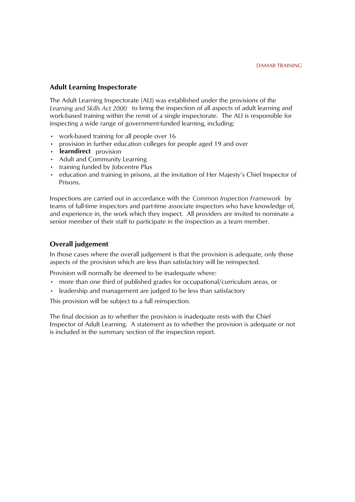#### **Adult Learning Inspectorate**

The Adult Learning Inspectorate (ALI) was established under the provisions of the *Learning and Skills Act 2000* to bring the inspection of all aspects of adult learning and work-based training within the remit of a single inspectorate. The ALI is responsible for inspecting a wide range of government-funded learning, including:

- work-based training for all people over 16
- provision in further education colleges for people aged 19 and over
- learndirect provision
- Adult and Community Learning
- training funded by Jobcentre Plus
- education and training in prisons, at the invitation of Her Majesty's Chief Inspector of Prisons.

Inspections are carried out in accordance with the Common Inspection Framework by teams of full-time inspectors and part-time associate inspectors who have knowledge of, and experience in, the work which they inspect. All providers are invited to nominate a senior member of their staff to participate in the inspection as a team member.

#### **Overall judgement**

In those cases where the overall judgement is that the provision is adequate, only those aspects of the provision which are less than satisfactory will be reinspected.

Provision will normally be deemed to be inadequate where:

- more than one third of published grades for occupational/curriculum areas, or
- leadership and management are judged to be less than satisfactory

This provision will be subject to a full reinspection.

The final decision as to whether the provision is inadequate rests with the Chief Inspector of Adult Learning. A statement as to whether the provision is adequate or not is included in the summary section of the inspection report.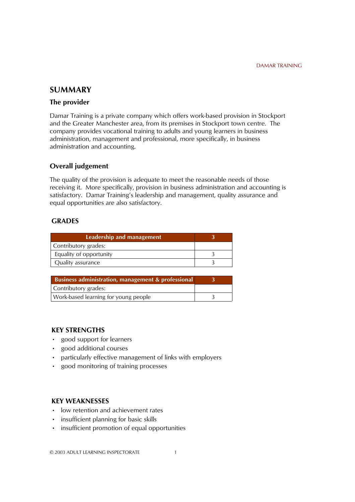## **SUMMARY**

#### **The provider**

Damar Training is a private company which offers work-based provision in Stockport and the Greater Manchester area, from its premises in Stockport town centre. The company provides vocational training to adults and young learners in business administration, management and professional, more specifically, in business administration and accounting.

#### **Overall judgement**

The quality of the provision is adequate to meet the reasonable needs of those receiving it. More specifically, provision in business administration and accounting is satisfactory. Damar Training's leadership and management, quality assurance and equal opportunities are also satisfactory.

#### **GRADES**

| Business administration, management & professional |  |
|----------------------------------------------------|--|
| Contributory grades:                               |  |
| Work-based learning for young people               |  |

#### **KEY STRENGTHS**

- good support for learners
- good additional courses
- particularly effective management of links with employers
- good monitoring of training processes

#### **KEY WEAKNESSES**

- low retention and achievement rates
- insufficient planning for basic skills
- $\cdot$  insufficient promotion of equal opportunities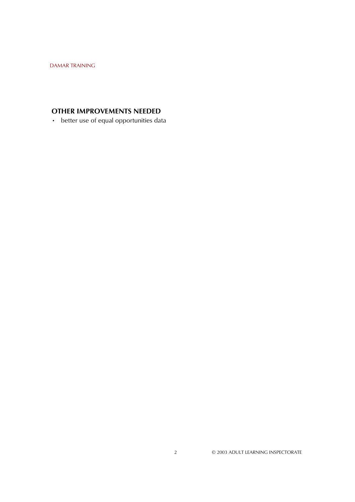# **OTHER IMPROVEMENTS NEEDED**

• better use of equal opportunities data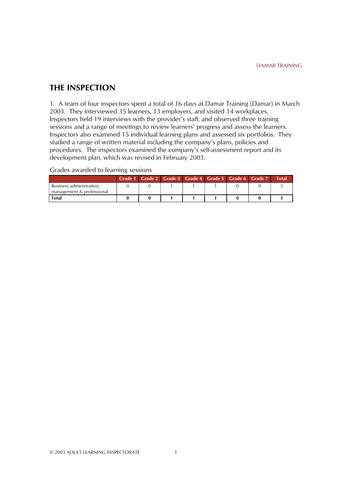#### **THE INSPECTION**

1. A team of four inspectors spent a total of 16 days at Damar Training (Damar) in March 2003. They interviewed 35 learners, 13 employers, and visited 14 workplaces. Inspectors held 19 interviews with the provider's staff, and observed three training sessions and a range of meetings to review learners' progress and assess the learners. Inspectors also examined 15 individual learning plans and assessed six portfolios. They studied a range of written material including the company's plans, policies and procedures. The inspectors examined the company's self-assessment report and its development plan, which was revised in February 2003.

Grades awarded to learning sessions

|                                                       | Grade 1 Grade 2   Grade 3   Grade 4   Grade 5   Grade 6   Grade 7 |  |  |  | <b>Total</b> |
|-------------------------------------------------------|-------------------------------------------------------------------|--|--|--|--------------|
| Business administration.<br>management & professional |                                                                   |  |  |  |              |
| <b>Total</b>                                          |                                                                   |  |  |  |              |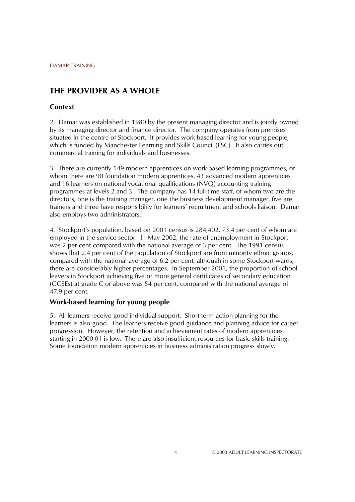# **THE PROVIDER AS A WHOLE**

#### **Context**

2. Damar was established in 1980 by the present managing director and is jointly owned by its managing director and finance director. The company operates from premises situated in the centre of Stockport. It provides work-based learning for young people, which is funded by Manchester Learning and Skills Council (LSC). It also carries out commercial training for individuals and businesses.

3. There are currently 149 modern apprentices on work-based learning programmes, of whom there are 90 foundation modern apprentices, 43 advanced modern apprentices and 16 learners on national vocational qualifications (NVQ) accounting training programmes at levels 2 and 3. The company has 14 full-time staff, of whom two are the directors, one is the training manager, one the business development manager, five are trainers and three have responsibility for learners' recruitment and schools liaison. Damar also employs two administrators.

4. Stockportís population, based on 2001 census is 284,402, 73.4 per cent of whom are employed in the service sector. In May 2002, the rate of unemployment in Stockport was 2 per cent compared with the national average of 3 per cent. The 1991 census shows that 2.4 per cent of the population of Stockport are from minority ethnic groups, compared with the national average of 6.2 per cent, although in some Stockport wards, there are considerably higher percentages. In September 2001, the proportion of school leavers in Stockport achieving five or more general certificates of secondary education (GCSEs) at grade C or above was 54 per cent, compared with the national average of 47.9 per cent.

#### **Work-based learning for young people**

5. All learners receive good individual support. Short-term action-planning for the learners is also good. The learners receive good guidance and planning advice for career progression. However, the retention and achievement rates of modern apprentices starting in 2000-01 is low. There are also insufficient resources for basic skills training. Some foundation modern apprentices in business administration progress slowly.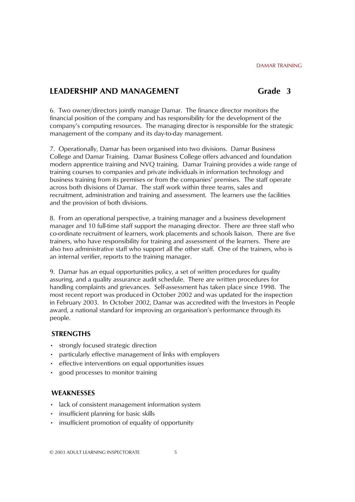## **LEADERSHIP AND MANAGEMENT** Grade 3

6. Two owner/directors jointly manage Damar. The finance director monitors the financial position of the company and has responsibility for the development of the companyís computing resources. The managing director is responsible for the strategic management of the company and its day-to-day management.

7. Operationally, Damar has been organised into two divisions. Damar Business College and Damar Training. Damar Business College offers advanced and foundation modern apprentice training and NVQ training. Damar Training provides a wide range of training courses to companies and private individuals in information technology and business training from its premises or from the companiesí premises. The staff operate across both divisions of Damar. The staff work within three teams, sales and recruitment, administration and training and assessment. The learners use the facilities and the provision of both divisions.

8. From an operational perspective, a training manager and a business development manager and 10 full-time staff support the managing director. There are three staff who co-ordinate recruitment of learners, work placements and schools liaison. There are five trainers, who have responsibility for training and assessment of the learners. There are also two administrative staff who support all the other staff. One of the trainers, who is an internal verifier, reports to the training manager.

9. Damar has an equal opportunities policy, a set of written procedures for quality assuring, and a quality assurance audit schedule. There are written procedures for handling complaints and grievances. Self-assessment has taken place since 1998. The most recent report was produced in October 2002 and was updated for the inspection in February 2003. In October 2002, Damar was accredited with the Investors in People award, a national standard for improving an organisationís performance through its people.

#### **STRENGTHS**

- **•** strongly focused strategic direction
- particularly effective management of links with employers
- **•** effective interventions on equal opportunities issues
- good processes to monitor training

#### **WEAKNESSES**

- lack of consistent management information system
- insufficient planning for basic skills
- insufficient promotion of equality of opportunity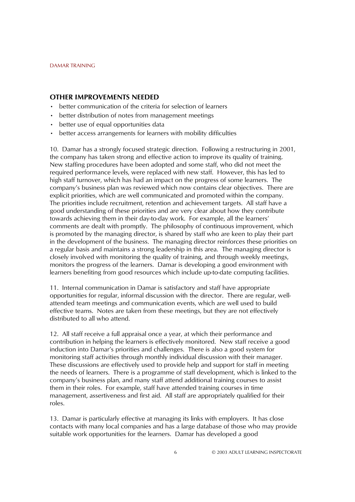#### **OTHER IMPROVEMENTS NEEDED**

- better communication of the criteria for selection of learners
- better distribution of notes from management meetings
- better use of equal opportunities data
- better access arrangements for learners with mobility difficulties

10. Damar has a strongly focused strategic direction. Following a restructuring in 2001, the company has taken strong and effective action to improve its quality of training. New staffing procedures have been adopted and some staff, who did not meet the required performance levels, were replaced with new staff. However, this has led to high staff turnover, which has had an impact on the progress of some learners. The companyís business plan was reviewed which now contains clear objectives. There are explicit priorities, which are well communicated and promoted within the company. The priorities include recruitment, retention and achievement targets. All staff have a good understanding of these priorities and are very clear about how they contribute towards achieving them in their day-to-day work. For example, all the learners' comments are dealt with promptly. The philosophy of continuous improvement, which is promoted by the managing director, is shared by staff who are keen to play their part in the development of the business. The managing director reinforces these priorities on a regular basis and maintains a strong leadership in this area. The managing director is closely involved with monitoring the quality of training, and through weekly meetings, monitors the progress of the learners. Damar is developing a good environment with learners benefiting from good resources which include up-to-date computing facilities.

11. Internal communication in Damar is satisfactory and staff have appropriate opportunities for regular, informal discussion with the director. There are regular, wellattended team meetings and communication events, which are well used to build effective teams. Notes are taken from these meetings, but they are not effectively distributed to all who attend.

12. All staff receive a full appraisal once a year, at which their performance and contribution in helping the learners is effectively monitored. New staff receive a good induction into Damarís priorities and challenges. There is also a good system for monitoring staff activities through monthly individual discussion with their manager. These discussions are effectively used to provide help and support for staff in meeting the needs of learners. There is a programme of staff development, which is linked to the companyís business plan, and many staff attend additional training courses to assist them in their roles. For example, staff have attended training courses in time management, assertiveness and first aid. All staff are appropriately qualified for their roles.

13. Damar is particularly effective at managing its links with employers. It has close contacts with many local companies and has a large database of those who may provide suitable work opportunities for the learners. Damar has developed a good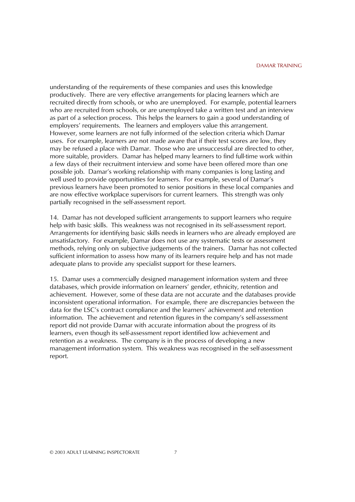understanding of the requirements of these companies and uses this knowledge productively. There are very effective arrangements for placing learners which are recruited directly from schools, or who are unemployed. For example, potential learners who are recruited from schools, or are unemployed take a written test and an interview as part of a selection process. This helps the learners to gain a good understanding of employers' requirements. The learners and employers value this arrangement. However, some learners are not fully informed of the selection criteria which Damar uses. For example, learners are not made aware that if their test scores are low, they may be refused a place with Damar. Those who are unsuccessful are directed to other, more suitable, providers. Damar has helped many learners to find full-time work within a few days of their recruitment interview and some have been offered more than one possible job. Damarís working relationship with many companies is long lasting and well used to provide opportunities for learners. For example, several of Damarís previous learners have been promoted to senior positions in these local companies and are now effective workplace supervisors for current learners. This strength was only partially recognised in the self-assessment report.

14. Damar has not developed sufficient arrangements to support learners who require help with basic skills. This weakness was not recognised in its self-assessment report. Arrangements for identifying basic skills needs in learners who are already employed are unsatisfactory. For example, Damar does not use any systematic tests or assessment methods, relying only on subjective judgements of the trainers. Damar has not collected sufficient information to assess how many of its learners require help and has not made adequate plans to provide any specialist support for these learners.

15. Damar uses a commercially designed management information system and three databases, which provide information on learners' gender, ethnicity, retention and achievement. However, some of these data are not accurate and the databases provide inconsistent operational information. For example, there are discrepancies between the data for the LSC's contract compliance and the learners' achievement and retention information. The achievement and retention figures in the companyís self-assessment report did not provide Damar with accurate information about the progress of its learners, even though its self-assessment report identified low achievement and retention as a weakness. The company is in the process of developing a new management information system. This weakness was recognised in the self-assessment report.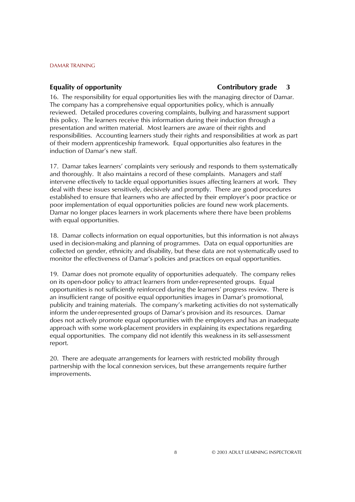#### **Equality of opportunity**

#### **Contributory grade 3**

16. The responsibility for equal opportunities lies with the managing director of Damar. The company has a comprehensive equal opportunities policy, which is annually reviewed. Detailed procedures covering complaints, bullying and harassment support this policy. The learners receive this information during their induction through a presentation and written material. Most learners are aware of their rights and responsibilities. Accounting learners study their rights and responsibilities at work as part of their modern apprenticeship framework. Equal opportunities also features in the induction of Damar's new staff.

17. Damar takes learners' complaints very seriously and responds to them systematically and thoroughly. It also maintains a record of these complaints. Managers and staff intervene effectively to tackle equal opportunities issues affecting learners at work. They deal with these issues sensitively, decisively and promptly. There are good procedures established to ensure that learners who are affected by their employer's poor practice or poor implementation of equal opportunities policies are found new work placements. Damar no longer places learners in work placements where there have been problems with equal opportunities.

18. Damar collects information on equal opportunities, but this information is not always used in decision-making and planning of programmes. Data on equal opportunities are collected on gender, ethnicity and disability, but these data are not systematically used to monitor the effectiveness of Damar's policies and practices on equal opportunities.

19. Damar does not promote equality of opportunities adequately. The company relies on its open-door policy to attract learners from under-represented groups. Equal opportunities is not sufficiently reinforced during the learnersí progress review. There is an insufficient range of positive equal opportunities images in Damar's promotional, publicity and training materials. The companyís marketing activities do not systematically inform the under-represented groups of Damarís provision and its resources. Damar does not actively promote equal opportunities with the employers and has an inadequate approach with some work-placement providers in explaining its expectations regarding equal opportunities. The company did not identify this weakness in its self-assessment report.

20. There are adequate arrangements for learners with restricted mobility through partnership with the local connexion services, but these arrangements require further improvements.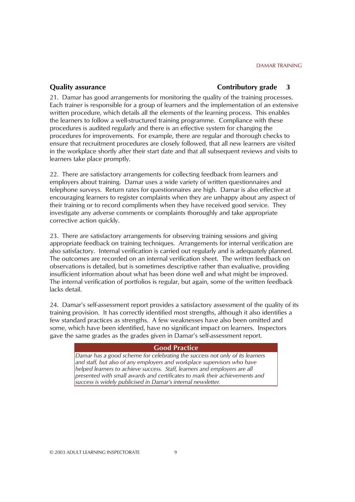#### **Quality assurance**

#### **Contributory grade 3**

21. Damar has good arrangements for monitoring the quality of the training processes. Each trainer is responsible for a group of learners and the implementation of an extensive written procedure, which details all the elements of the learning process. This enables the learners to follow a well-structured training programme. Compliance with these procedures is audited regularly and there is an effective system for changing the procedures for improvements. For example, there are regular and thorough checks to ensure that recruitment procedures are closely followed, that all new learners are visited in the workplace shortly after their start date and that all subsequent reviews and visits to learners take place promptly.

22. There are satisfactory arrangements for collecting feedback from learners and employers about training. Damar uses a wide variety of written questionnaires and telephone surveys. Return rates for questionnaires are high. Damar is also effective at encouraging learners to register complaints when they are unhappy about any aspect of their training or to record compliments when they have received good service. They investigate any adverse comments or complaints thoroughly and take appropriate corrective action quickly.

23. There are satisfactory arrangements for observing training sessions and giving appropriate feedback on training techniques. Arrangements for internal verification are also satisfactory. Internal verification is carried out regularly and is adequately planned. The outcomes are recorded on an internal verification sheet. The written feedback on observations is detailed, but is sometimes descriptive rather than evaluative, providing insufficient information about what has been done well and what might be improved. The internal verification of portfolios is regular, but again, some of the written feedback lacks detail.

24. Damarís self-assessment report provides a satisfactory assessment of the quality of its training provision. It has correctly identified most strengths, although it also identifies a few standard practices as strengths. A few weaknesses have also been omitted and some, which have been identified, have no significant impact on learners. Inspectors gave the same grades as the grades given in Damar's self-assessment report.

#### **Good Practice**

*Damar has a good scheme for celebrating the success not only of its learners and staff, but also of any employers and workplace supervisors who have helped learners to achieve success. Staff, learners and employers are all presented with small awards and certificates to mark their achievements and success is widely publicised in Damarís internal newsletter.*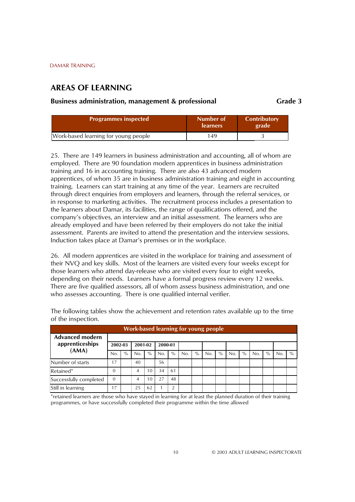## **AREAS OF LEARNING**

#### **Business administration, management & professional Grade 3** Grade 3

| <b>Programmes inspected</b>          | Number of<br><b>learners</b> | <b>Contributory</b><br>grade |
|--------------------------------------|------------------------------|------------------------------|
| Work-based learning for young people | 149                          |                              |

25. There are 149 learners in business administration and accounting, all of whom are employed. There are 90 foundation modern apprentices in business administration training and 16 in accounting training. There are also 43 advanced modern apprentices, of whom 35 are in business administration training and eight in accounting training. Learners can start training at any time of the year. Learners are recruited through direct enquiries from employers and learners, through the referral services, or in response to marketing activities. The recruitment process includes a presentation to the learners about Damar, its facilities, the range of qualifications offered, and the companyís objectives, an interview and an initial assessment. The learners who are already employed and have been referred by their employers do not take the initial assessment. Parents are invited to attend the presentation and the interview sessions. Induction takes place at Damarís premises or in the workplace.

26. All modern apprentices are visited in the workplace for training and assessment of their NVQ and key skills. Most of the learners are visited every four weeks except for those learners who attend day-release who are visited every four to eight weeks, depending on their needs. Learners have a formal progress review every 12 weeks. There are five qualified assessors, all of whom assess business administration, and one who assesses accounting. There is one qualified internal verifier.

| <b>Work-based learning for young people</b> |          |      |         |      |         |      |     |      |     |      |     |      |     |      |     |               |
|---------------------------------------------|----------|------|---------|------|---------|------|-----|------|-----|------|-----|------|-----|------|-----|---------------|
| <b>Advanced modern</b><br>apprenticeships   | 2002-03  |      | 2001-02 |      | 2000-01 |      |     |      |     |      |     |      |     |      |     |               |
| (AMA)                                       | No.      | $\%$ | No.     | $\%$ | No.     | $\%$ | No. | $\%$ | No. | $\%$ | No. | $\%$ | No. | $\%$ | No. | $\frac{0}{0}$ |
| Number of starts                            | 17       |      | 40      |      | 56      |      |     |      |     |      |     |      |     |      |     |               |
| Retained*                                   | $\Omega$ |      | 4       | 10   | 34      | 61   |     |      |     |      |     |      |     |      |     |               |
| Successfully completed                      | $\Omega$ |      | 4       | 10   | 27      | 48   |     |      |     |      |     |      |     |      |     |               |
| Still in learning                           | 17       |      | 25      | 62   |         |      |     |      |     |      |     |      |     |      |     |               |

The following tables show the achievement and retention rates available up to the time of the inspection.

\*retained learners are those who have stayed in learning for at least the planned duration of their training programmes, or have successfully completed their programme within the time allowed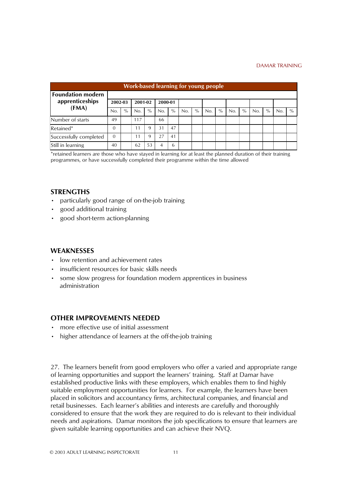| <b>Work-based learning for young people</b> |          |      |         |      |         |      |     |      |     |      |     |      |     |      |     |      |
|---------------------------------------------|----------|------|---------|------|---------|------|-----|------|-----|------|-----|------|-----|------|-----|------|
| <b>Foundation modern</b><br>apprenticeships | 2002-03  |      | 2001-02 |      | 2000-01 |      |     |      |     |      |     |      |     |      |     |      |
| (FMA)                                       | No.      | $\%$ | No.     | $\%$ | No.     | $\%$ | No. | $\%$ | No. | $\%$ | No. | $\%$ | No. | $\%$ | No. | $\%$ |
| Number of starts                            | 49       |      | 117     |      | 66      |      |     |      |     |      |     |      |     |      |     |      |
| Retained*                                   | $\Omega$ |      | 11      | 9    | 31      | 47   |     |      |     |      |     |      |     |      |     |      |
| Successfully completed                      | $\Omega$ |      | 11      | 9    | 27      | 41   |     |      |     |      |     |      |     |      |     |      |
| Still in learning                           | 40       |      | 62      | 53   | 4       | 6    |     |      |     |      |     |      |     |      |     |      |

\*retained learners are those who have stayed in learning for at least the planned duration of their training programmes, or have successfully completed their programme within the time allowed

#### **STRENGTHS**

- particularly good range of on-the-job training
- good additional training
- good short-term action-planning

#### **WEAKNESSES**

- low retention and achievement rates
- $\cdot$  insufficient resources for basic skills needs
- some slow progress for foundation modern apprentices in business administration

#### **OTHER IMPROVEMENTS NEEDED**

- more effective use of initial assessment
- higher attendance of learners at the off-the-job training

27. The learners benefit from good employers who offer a varied and appropriate range of learning opportunities and support the learners' training. Staff at Damar have established productive links with these employers, which enables them to find highly suitable employment opportunities for learners. For example, the learners have been placed in solicitors and accountancy firms, architectural companies, and financial and retail businesses. Each learner's abilities and interests are carefully and thoroughly considered to ensure that the work they are required to do is relevant to their individual needs and aspirations. Damar monitors the job specifications to ensure that learners are given suitable learning opportunities and can achieve their NVQ.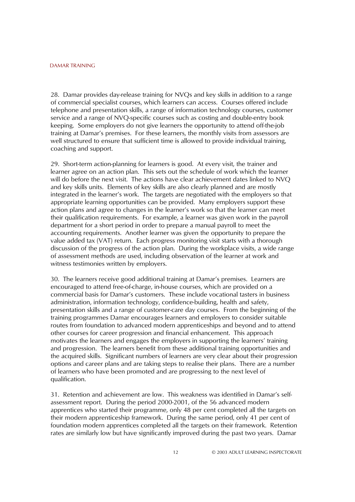28. Damar provides day-release training for NVQs and key skills in addition to a range of commercial specialist courses, which learners can access. Courses offered include telephone and presentation skills, a range of information technology courses, customer service and a range of NVQ-specific courses such as costing and double-entry book keeping. Some employers do not give learners the opportunity to attend off-the-job training at Damarís premises. For these learners, the monthly visits from assessors are well structured to ensure that sufficient time is allowed to provide individual training, coaching and support.

29. Short-term action-planning for learners is good. At every visit, the trainer and learner agree on an action plan. This sets out the schedule of work which the learner will do before the next visit. The actions have clear achievement dates linked to NVQ and key skills units. Elements of key skills are also clearly planned and are mostly integrated in the learner's work. The targets are negotiated with the employers so that appropriate learning opportunities can be provided. Many employers support these action plans and agree to changes in the learner's work so that the learner can meet their qualification requirements. For example, a learner was given work in the payroll department for a short period in order to prepare a manual payroll to meet the accounting requirements. Another learner was given the opportunity to prepare the value added tax (VAT) return. Each progress monitoring visit starts with a thorough discussion of the progress of the action plan. During the workplace visits, a wide range of assessment methods are used, including observation of the learner at work and witness testimonies written by employers.

30. The learners receive good additional training at Damarís premises. Learners are encouraged to attend free-of-charge, in-house courses, which are provided on a commercial basis for Damarís customers. These include vocational tasters in business administration, information technology, confidence-building, health and safety, presentation skills and a range of customer-care day courses. From the beginning of the training programmes Damar encourages learners and employers to consider suitable routes from foundation to advanced modern apprenticeships and beyond and to attend other courses for career progression and financial enhancement. This approach motivates the learners and engages the employers in supporting the learnersí training and progression. The learners benefit from these additional training opportunities and the acquired skills. Significant numbers of learners are very clear about their progression options and career plans and are taking steps to realise their plans. There are a number of learners who have been promoted and are progressing to the next level of qualification.

31. Retention and achievement are low. This weakness was identified in Damarís selfassessment report. During the period 2000-2001, of the 56 advanced modern apprentices who started their programme, only 48 per cent completed all the targets on their modern apprenticeship framework. During the same period, only 41 per cent of foundation modern apprentices completed all the targets on their framework. Retention rates are similarly low but have significantly improved during the past two years. Damar